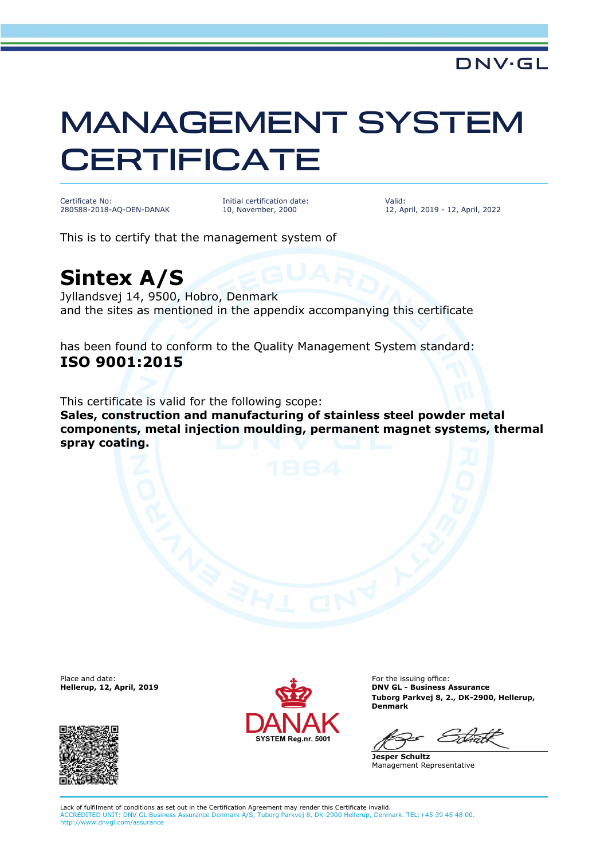## MANAGEMENT SYSTEM **CERTIFICATE**

Certificate No: 280588-2018-AQ-DEN-DANAK Initial certification date: 10, November, 2000

Valid: 12, April, 2019 - 12, April, 2022

This is to certify that the management system of

## **Sintex A/S**

Jyllandsvej 14, 9500, Hobro, Denmark and the sites as mentioned in the appendix accompanying this certificate

has been found to conform to the Quality Management System standard: **ISO 9001:2015**

This certificate is valid for the following scope: **Sales, construction and manufacturing of stainless steel powder metal components, metal injection moulding, permanent magnet systems, thermal spray coating.**

Place and date:<br>Hellerup, 12, April, 2019





For the issuing office: **DNV GL - Business Assurance Tuborg Parkvej 8, 2., DK-2900, Hellerup, Denmark**

**Jesper Schultz** Management Representative